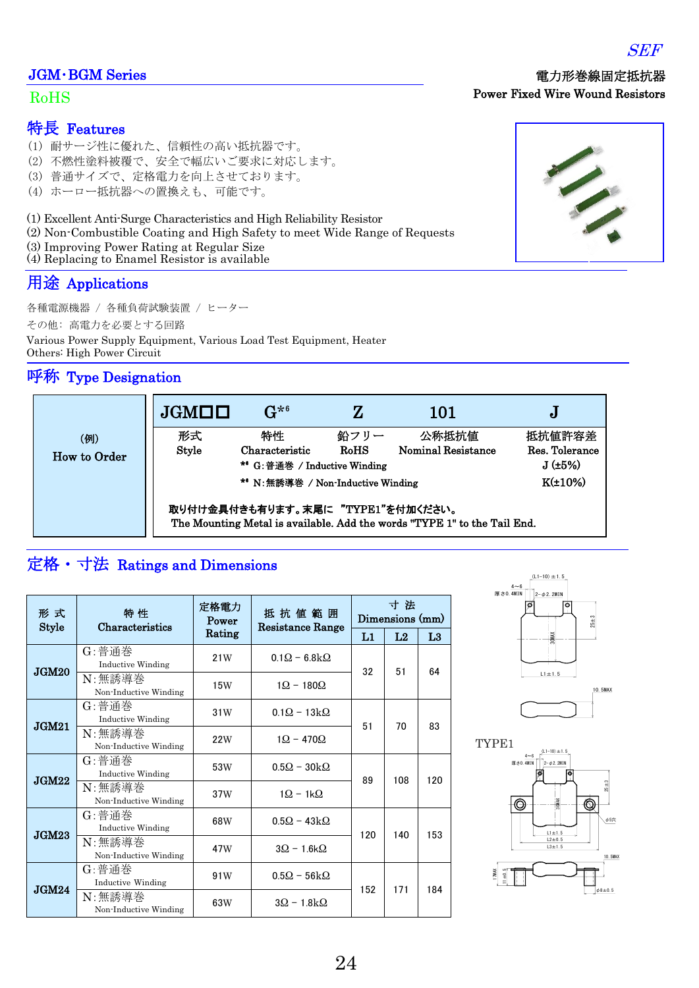### JGM・BGM Series

#### RoHS

### 特長 Features

- (1) 耐サージ性に優れた、信頼性の高い抵抗器です。
- (2) 不燃性塗料被覆で、安全で幅広いご要求に対応します。
- (3) 普通サイズで、定格電力を向上させております。
- (4) ホーロー抵抗器への置換えも、可能です。

(1) Excellent Anti-Surge Characteristics and High Reliability Resistor

- (2) Non-Combustible [Coating](https://ejje.weblio.jp/content/NONCOMBUSTIBLE) and High Safety to meet Wide Range of Requests
- (3) Improving Power Rating at Regular Size
- (4) Replacing to Enamel Resistor is available

### 用途 Applications

各種電源機器 / 各種負荷試験装置 / ヒーター

その他: 高電力を必要とする回路

Various Power Supply Equipment, Various Load Test Equipment, Heater Others: High Power Circuit

### 呼称 Type Designation

| (例)<br><b>How to Order</b> | JGMLL                                                                                                         | $G^{*6}$                                                         |                 | 101                                | J                                  |  |  |  |  |  |
|----------------------------|---------------------------------------------------------------------------------------------------------------|------------------------------------------------------------------|-----------------|------------------------------------|------------------------------------|--|--|--|--|--|
|                            | 形式<br><b>Style</b>                                                                                            | 特性<br>Characteristic<br>* <sup>6</sup> G:普通巻 / Inductive Winding | 鉛フリー<br>$RoH$ S | 公称抵抗値<br><b>Nominal Resistance</b> | 抵抗値許容差<br>Res. Tolerance<br>J(±5%) |  |  |  |  |  |
|                            | $K(\pm 10\%)$<br>*6 N: 無誘導巻 / Non-Inductive Winding                                                           |                                                                  |                 |                                    |                                    |  |  |  |  |  |
|                            | 取り付け金具付きも有ります。末尾に "TYPE1"を付加ください。<br>The Mounting Metal is available. Add the words "TYPE 1" to the Tail End. |                                                                  |                 |                                    |                                    |  |  |  |  |  |

## 定格・寸法 Ratings and Dimensions

| 形 式<br><b>Style</b> | 特性<br>Characteristics                                                    | 定格電力<br>Power | 抵 抗 値 範 囲<br>Resistance Range | 寸法<br>Dimensions (mm) |                |                |  |
|---------------------|--------------------------------------------------------------------------|---------------|-------------------------------|-----------------------|----------------|----------------|--|
|                     |                                                                          | Rating        |                               | L1                    | L <sub>2</sub> | L <sub>3</sub> |  |
| JGM20               | $G: \nexists \mathbb{F} \nexists \mathbb{F}$<br><b>Inductive Winding</b> | 21W           | $0.1\Omega$ – 6.8 k $\Omega$  | 32                    | 51             | 64             |  |
|                     | N:無誘導巻<br>Non-Inductive Winding                                          | 15W           | $1Q - 180Q$                   |                       |                |                |  |
| JGM21               | G:普通巻<br><b>Inductive Winding</b>                                        | 31W           | $0.1Q - 13kQ$                 | 51                    | 70             | 83             |  |
|                     | N:無誘導巻<br>Non-Inductive Winding                                          | 22W           | $1Q - 470Q$                   |                       |                |                |  |
| JGM22               | G:普通巻<br><b>Inductive Winding</b>                                        | 53W           | $0.5Q - 30kQ$                 | 89                    | 108            | 120            |  |
|                     | N:無誘導巻<br>Non-Inductive Winding                                          | 37W           | $1\Omega - 1k\Omega$          |                       |                |                |  |
| JGM23               | G:普通巻<br><b>Inductive Winding</b>                                        | 68W           | $0.5Q - 43kQ$                 | 120                   | 140            | 153            |  |
|                     | N:無誘導巻<br>Non-Inductive Winding                                          | 47W           | $3Q - 1.6kQ$                  |                       |                |                |  |
| JGM24               | $G: \H \rightarrow \H \oplus \H$<br>Inductive Winding                    | 91W           | $0.5\Omega - 56k\Omega$       | 152                   | 171            | 184            |  |
|                     | N:無誘導巻<br>Non-Inductive Winding                                          | 63W           | $3Q - 1.8kQ$                  |                       |                |                |  |







Power Fixed Wire Wound Resistors

電力形巻線固定抵抗器

# 24